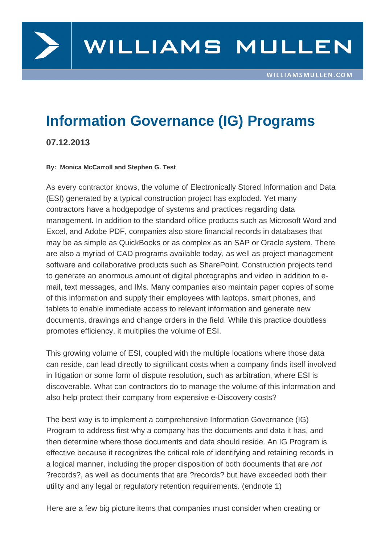

# **Information Governance (IG) Programs**

**07.12.2013**

#### **By: Monica McCarroll and Stephen G. Test**

As every contractor knows, the volume of Electronically Stored Information and Data (ESI) generated by a typical construction project has exploded. Yet many contractors have a hodgepodge of systems and practices regarding data management. In addition to the standard office products such as Microsoft Word and Excel, and Adobe PDF, companies also store financial records in databases that may be as simple as QuickBooks or as complex as an SAP or Oracle system. There are also a myriad of CAD programs available today, as well as project management software and collaborative products such as SharePoint. Construction projects tend to generate an enormous amount of digital photographs and video in addition to email, text messages, and IMs. Many companies also maintain paper copies of some of this information and supply their employees with laptops, smart phones, and tablets to enable immediate access to relevant information and generate new documents, drawings and change orders in the field. While this practice doubtless promotes efficiency, it multiplies the volume of ESI.

This growing volume of ESI, coupled with the multiple locations where those data can reside, can lead directly to significant costs when a company finds itself involved in litigation or some form of dispute resolution, such as arbitration, where ESI is discoverable. What can contractors do to manage the volume of this information and also help protect their company from expensive e-Discovery costs?

The best way is to implement a comprehensive Information Governance (IG) Program to address first why a company has the documents and data it has, and then determine where those documents and data should reside. An IG Program is effective because it recognizes the critical role of identifying and retaining records in a logical manner, including the proper disposition of both documents that are not ?records?, as well as documents that are ?records? but have exceeded both their utility and any legal or regulatory retention requirements. (endnote 1)

Here are a few big picture items that companies must consider when creating or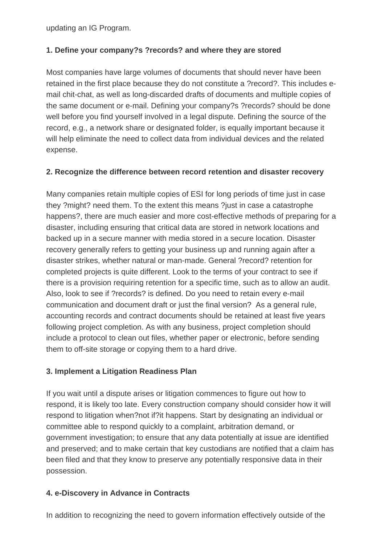updating an IG Program.

#### **1. Define your company?s ?records? and where they are stored**

Most companies have large volumes of documents that should never have been retained in the first place because they do not constitute a ?record?. This includes email chit-chat, as well as long-discarded drafts of documents and multiple copies of the same document or e-mail. Defining your company?s ?records? should be done well before you find yourself involved in a legal dispute. Defining the source of the record, e.g., a network share or designated folder, is equally important because it will help eliminate the need to collect data from individual devices and the related expense.

#### **2. Recognize the difference between record retention and disaster recovery**

Many companies retain multiple copies of ESI for long periods of time just in case they ?might? need them. To the extent this means ?just in case a catastrophe happens?, there are much easier and more cost-effective methods of preparing for a disaster, including ensuring that critical data are stored in network locations and backed up in a secure manner with media stored in a secure location. Disaster recovery generally refers to getting your business up and running again after a disaster strikes, whether natural or man-made. General ?record? retention for completed projects is quite different. Look to the terms of your contract to see if there is a provision requiring retention for a specific time, such as to allow an audit. Also, look to see if ?records? is defined. Do you need to retain every e-mail communication and document draft or just the final version? As a general rule, accounting records and contract documents should be retained at least five years following project completion. As with any business, project completion should include a protocol to clean out files, whether paper or electronic, before sending them to off-site storage or copying them to a hard drive.

### **3. Implement a Litigation Readiness Plan**

If you wait until a dispute arises or litigation commences to figure out how to respond, it is likely too late. Every construction company should consider how it will respond to litigation when?not if?it happens. Start by designating an individual or committee able to respond quickly to a complaint, arbitration demand, or government investigation; to ensure that any data potentially at issue are identified and preserved; and to make certain that key custodians are notified that a claim has been filed and that they know to preserve any potentially responsive data in their possession.

### **4. e-Discovery in Advance in Contracts**

In addition to recognizing the need to govern information effectively outside of the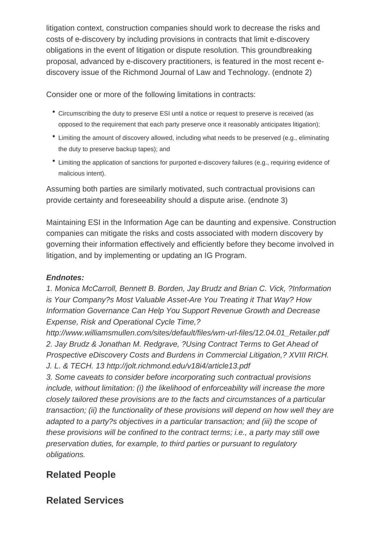litigation context, construction companies should work to decrease the risks and costs of e-discovery by including provisions in contracts that limit e-discovery obligations in the event of litigation or dispute resolution. This groundbreaking proposal, advanced by e-discovery practitioners, is featured in the most recent ediscovery issue of the Richmond Journal of Law and Technology. (endnote 2)

Consider one or more of the following limitations in contracts:

- Circumscribing the duty to preserve ESI until a notice or request to preserve is received (as opposed to the requirement that each party preserve once it reasonably anticipates litigation);
- Limiting the amount of discovery allowed, including what needs to be preserved (e.g., eliminating the duty to preserve backup tapes); and
- Limiting the application of sanctions for purported e-discovery failures (e.g., requiring evidence of malicious intent).

Assuming both parties are similarly motivated, such contractual provisions can provide certainty and foreseeability should a dispute arise. (endnote 3)

Maintaining ESI in the Information Age can be daunting and expensive. Construction companies can mitigate the risks and costs associated with modern discovery by governing their information effectively and efficiently before they become involved in litigation, and by implementing or updating an IG Program.

### **Endnotes:**

1. Monica McCarroll, Bennett B. Borden, Jay Brudz and Brian C. Vick, ?Information is Your Company?s Most Valuable Asset-Are You Treating it That Way? How Information Governance Can Help You Support Revenue Growth and Decrease Expense, Risk and Operational Cycle Time,?

http://www.williamsmullen.com/sites/default/files/wm-url-files/12.04.01\_Retailer.pdf 2. Jay Brudz & Jonathan M. Redgrave, ?Using Contract Terms to Get Ahead of Prospective eDiscovery Costs and Burdens in Commercial Litigation,? XVIII RICH. J. L. & TECH. 13 http://jolt.richmond.edu/v18i4/article13.pdf

3. Some caveats to consider before incorporating such contractual provisions include, without limitation: (i) the likelihood of enforceability will increase the more closely tailored these provisions are to the facts and circumstances of a particular transaction; (ii) the functionality of these provisions will depend on how well they are adapted to a party?s objectives in a particular transaction; and (iii) the scope of these provisions will be confined to the contract terms; i.e., a party may still owe preservation duties, for example, to third parties or pursuant to regulatory obligations.

## **Related People**

## **Related Services**